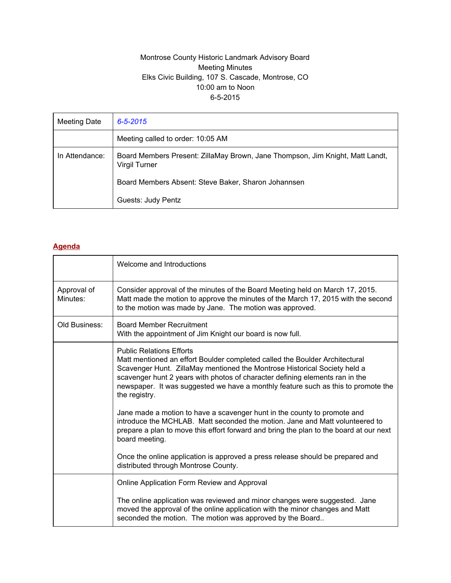# Montrose County Historic Landmark Advisory Board Meeting Minutes Elks Civic Building, 107 S. Cascade, Montrose, CO 10:00 am to Noon 6-5-2015

| Meeting Date   | $6 - 5 - 2015$                                                                                 |
|----------------|------------------------------------------------------------------------------------------------|
|                | Meeting called to order: 10:05 AM                                                              |
| In Attendance: | Board Members Present: ZillaMay Brown, Jane Thompson, Jim Knight, Matt Landt,<br>Virgil Turner |
|                | Board Members Absent: Steve Baker, Sharon Johannsen                                            |
|                | Guests: Judy Pentz                                                                             |

## **Agenda**

|                         | Welcome and Introductions                                                                                                                                                                                                                                                                                                                                                         |
|-------------------------|-----------------------------------------------------------------------------------------------------------------------------------------------------------------------------------------------------------------------------------------------------------------------------------------------------------------------------------------------------------------------------------|
| Approval of<br>Minutes: | Consider approval of the minutes of the Board Meeting held on March 17, 2015.<br>Matt made the motion to approve the minutes of the March 17, 2015 with the second<br>to the motion was made by Jane. The motion was approved.                                                                                                                                                    |
| Old Business:           | <b>Board Member Recruitment</b><br>With the appointment of Jim Knight our board is now full.                                                                                                                                                                                                                                                                                      |
|                         | <b>Public Relations Efforts</b><br>Matt mentioned an effort Boulder completed called the Boulder Architectural<br>Scavenger Hunt. ZillaMay mentioned the Montrose Historical Society held a<br>scavenger hunt 2 years with photos of character defining elements ran in the<br>newspaper. It was suggested we have a monthly feature such as this to promote the<br>the registry. |
|                         | Jane made a motion to have a scavenger hunt in the county to promote and<br>introduce the MCHLAB. Matt seconded the motion. Jane and Matt volunteered to<br>prepare a plan to move this effort forward and bring the plan to the board at our next<br>board meeting.                                                                                                              |
|                         | Once the online application is approved a press release should be prepared and<br>distributed through Montrose County.                                                                                                                                                                                                                                                            |
|                         | Online Application Form Review and Approval                                                                                                                                                                                                                                                                                                                                       |
|                         | The online application was reviewed and minor changes were suggested. Jane<br>moved the approval of the online application with the minor changes and Matt<br>seconded the motion. The motion was approved by the Board                                                                                                                                                           |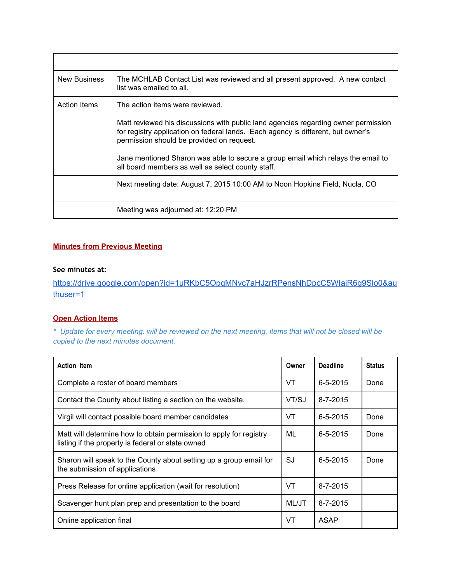| <b>New Business</b> | The MCHLAB Contact List was reviewed and all present approved. A new contact<br>list was emailed to all.                                                                                                            |
|---------------------|---------------------------------------------------------------------------------------------------------------------------------------------------------------------------------------------------------------------|
| Action Items        | The action items were reviewed.                                                                                                                                                                                     |
|                     | Matt reviewed his discussions with public land agencies regarding owner permission<br>for registry application on federal lands. Each agency is different, but owner's<br>permission should be provided on request. |
|                     | Jane mentioned Sharon was able to secure a group email which relays the email to<br>all board members as well as select county staff.                                                                               |
|                     | Next meeting date: August 7, 2015 10:00 AM to Noon Hopkins Field, Nucla, CO                                                                                                                                         |
|                     | Meeting was adjourned at: 12:20 PM                                                                                                                                                                                  |

#### **Minutes from Previous Meeting**

### **See minutes at:**

[https://drive.google.com/open?id=1uRKbC5OpqMNvc7aHJzrRPensNhDpcC5WIaiR6g9Slo0&au](https://drive.google.com/open?id=1uRKbC5OpqMNvc7aHJzrRPensNhDpcC5WIaiR6g9Slo0&authuser=1) [thuser=1](https://drive.google.com/open?id=1uRKbC5OpqMNvc7aHJzrRPensNhDpcC5WIaiR6g9Slo0&authuser=1)

## **Open Action Items**

\* Update for every meeting. will be reviewed on the next meeting. items that will not be closed will be *copied to the next minutes document.*

| <b>Action Item</b>                                                                                                      |    | <b>Deadline</b> | <b>Status</b> |
|-------------------------------------------------------------------------------------------------------------------------|----|-----------------|---------------|
| Complete a roster of board members                                                                                      |    | $6 - 5 - 2015$  | Done          |
| Contact the County about listing a section on the website.                                                              |    | 8-7-2015        |               |
| Virgil will contact possible board member candidates                                                                    |    | $6 - 5 - 2015$  | Done          |
| Matt will determine how to obtain permission to apply for registry<br>listing if the property is federal or state owned |    | $6 - 5 - 2015$  | Done          |
| Sharon will speak to the County about setting up a group email for<br>the submission of applications                    | SJ | $6 - 5 - 2015$  | Done          |
| Press Release for online application (wait for resolution)                                                              |    | $8 - 7 - 2015$  |               |
| Scavenger hunt plan prep and presentation to the board                                                                  |    | $8 - 7 - 2015$  |               |
| Online application final                                                                                                |    | ASAP            |               |